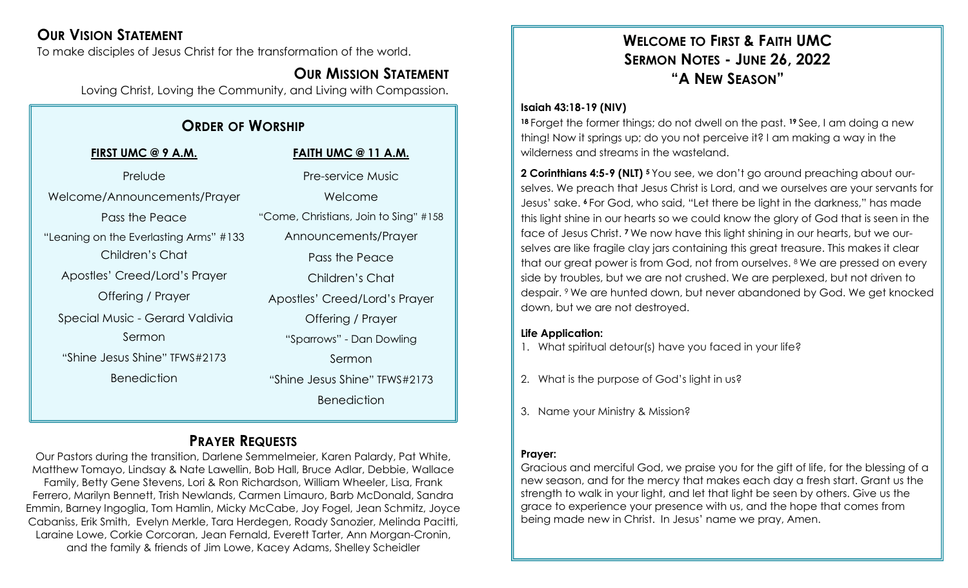## **OUR VISION STATEMENT**

To make disciples of Jesus Christ for the transformation of the world.

### **OUR MISSION STATEMENT**

Loving Christ, Loving the Community, and Living with Compassion.

## **ORDER OF WORSHIP**

| FIRST UMC @ 9 A.M.                     | <b>FAITH UMC @ 11 A.M.</b>            |
|----------------------------------------|---------------------------------------|
| Prelude                                | <b>Pre-service Music</b>              |
| Welcome/Announcements/Prayer           | Welcome                               |
| Pass the Peace                         | "Come, Christians, Join to Sing" #158 |
| "Leaning on the Everlasting Arms" #133 | Announcements/Prayer                  |
| Children's Chat                        | Pass the Peace                        |
| Apostles' Creed/Lord's Prayer          | Children's Chat                       |
| Offering / Prayer                      | Apostles' Creed/Lord's Prayer         |
| Special Music - Gerard Valdivia        | Offering / Prayer                     |
| Sermon                                 | "Sparrows" - Dan Dowling              |
| "Shine Jesus Shine" TFWS#2173          | Sermon                                |
| <b>Benediction</b>                     | "Shine Jesus Shine" TFWS#2173         |
|                                        | <b>Benediction</b>                    |

## **PRAYER REQUESTS**

Our Pastors during the transition, Darlene Semmelmeier, Karen Palardy, Pat White, Matthew Tomayo, Lindsay & Nate Lawellin, Bob Hall, Bruce Adlar, Debbie, Wallace Family, Betty Gene Stevens, Lori & Ron Richardson, William Wheeler, Lisa, Frank Ferrero, Marilyn Bennett, Trish Newlands, Carmen Limauro, Barb McDonald, Sandra Emmin, Barney Ingoglia, Tom Hamlin, Micky McCabe, Joy Fogel, Jean Schmitz, Joyce Cabaniss, Erik Smith, Evelyn Merkle, Tara Herdegen, Roady Sanozier, Melinda Pacitti, Laraine Lowe, Corkie Corcoran, Jean Fernald, Everett Tarter, Ann Morgan-Cronin, and the family & friends of Jim Lowe, Kacey Adams, Shelley Scheidler

## **WELCOME TO FIRST & FAITH UMC SERMON NOTES - JUNE 26, 2022 "A NEW SEASON"**

#### **Isaiah 43:18-19 (NIV)**

**<sup>18</sup>** Forget the former things; do not dwell on the past. **<sup>19</sup>** See, I am doing a new thing! Now it springs up; do you not perceive it? I am making a way in the wilderness and streams in the wasteland.

**2 Corinthians 4:5-9 (NLT) <sup>5</sup>** You see, we don't go around preaching about ourselves. We preach that Jesus Christ is Lord, and we ourselves are your servants for Jesus' sake. **<sup>6</sup>** For God, who said, "Let there be light in the darkness," has made this light shine in our hearts so we could know the glory of God that is seen in the face of Jesus Christ. **<sup>7</sup>** We now have this light shining in our hearts, but we ourselves are like fragile clay jars containing this great treasure. This makes it clear that our great power is from God, not from ourselves. <sup>8</sup> We are pressed on every side by troubles, but we are not crushed. We are perplexed, but not driven to despair. <sup>9</sup> We are hunted down, but never abandoned by God. We get knocked down, but we are not destroyed.

#### **Life Application:**

1. What spiritual detour(s) have you faced in your life?

- 2. What is the purpose of God's light in us?
- 3. Name your Ministry & Mission?

#### **Prayer:**

Gracious and merciful God, we praise you for the gift of life, for the blessing of a new season, and for the mercy that makes each day a fresh start. Grant us the strength to walk in your light, and let that light be seen by others. Give us the grace to experience your presence with us, and the hope that comes from being made new in Christ. In Jesus' name we pray, Amen.